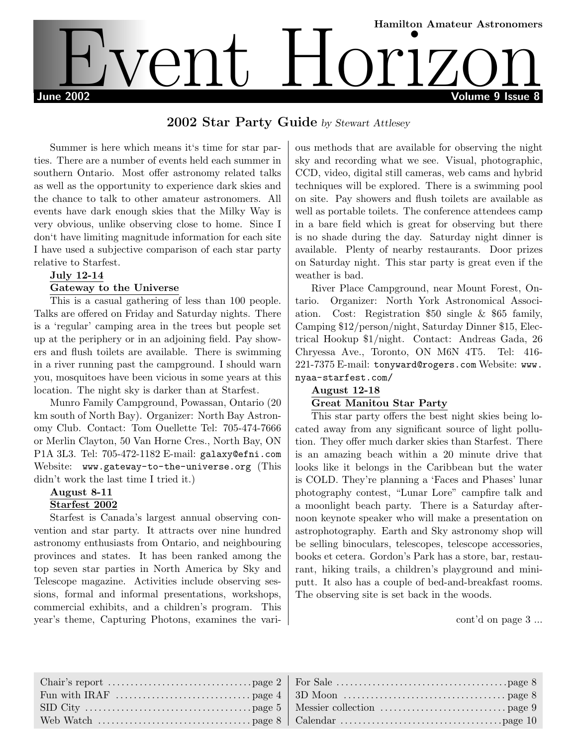

# 2002 Star Party Guide by Stewart Attlesey

Summer is here which means it's time for star parties. There are a number of events held each summer in southern Ontario. Most offer astronomy related talks as well as the opportunity to experience dark skies and the chance to talk to other amateur astronomers. All events have dark enough skies that the Milky Way is very obvious, unlike observing close to home. Since I don't have limiting magnitude information for each site I have used a subjective comparison of each star party relative to Starfest.

#### July 12-14 Gateway to the Universe

This is a casual gathering of less than 100 people. Talks are offered on Friday and Saturday nights. There is a 'regular' camping area in the trees but people set up at the periphery or in an adjoining field. Pay showers and flush toilets are available. There is swimming in a river running past the campground. I should warn you, mosquitoes have been vicious in some years at this location. The night sky is darker than at Starfest.

Munro Family Campground, Powassan, Ontario (20 km south of North Bay). Organizer: North Bay Astronomy Club. Contact: Tom Ouellette Tel: 705-474-7666 or Merlin Clayton, 50 Van Horne Cres., North Bay, ON P1A 3L3. Tel: 705-472-1182 E-mail: galaxy@efni.com Website: www.gateway-to-the-universe.org (This didn't work the last time I tried it.)

# August 8-11

#### Starfest 2002

Starfest is Canada's largest annual observing convention and star party. It attracts over nine hundred astronomy enthusiasts from Ontario, and neighbouring provinces and states. It has been ranked among the top seven star parties in North America by Sky and Telescope magazine. Activities include observing sessions, formal and informal presentations, workshops, commercial exhibits, and a children's program. This year's theme, Capturing Photons, examines the various methods that are available for observing the night sky and recording what we see. Visual, photographic, CCD, video, digital still cameras, web cams and hybrid techniques will be explored. There is a swimming pool on site. Pay showers and flush toilets are available as well as portable toilets. The conference attendees camp in a bare field which is great for observing but there is no shade during the day. Saturday night dinner is available. Plenty of nearby restaurants. Door prizes on Saturday night. This star party is great even if the weather is bad.

River Place Campground, near Mount Forest, Ontario. Organizer: North York Astronomical Association. Cost: Registration \$50 single & \$65 family, Camping \$12/person/night, Saturday Dinner \$15, Electrical Hookup \$1/night. Contact: Andreas Gada, 26 Chryessa Ave., Toronto, ON M6N 4T5. Tel: 416- 221-7375 E-mail: tonyward@rogers.com Website: www. nyaa-starfest.com/

## August 12-18

#### Great Manitou Star Party

This star party offers the best night skies being located away from any significant source of light pollution. They offer much darker skies than Starfest. There is an amazing beach within a 20 minute drive that looks like it belongs in the Caribbean but the water is COLD. They're planning a 'Faces and Phases' lunar photography contest, "Lunar Lore" campfire talk and a moonlight beach party. There is a Saturday afternoon keynote speaker who will make a presentation on astrophotography. Earth and Sky astronomy shop will be selling binoculars, telescopes, telescope accessories, books et cetera. Gordon's Park has a store, bar, restaurant, hiking trails, a children's playground and miniputt. It also has a couple of bed-and-breakfast rooms. The observing site is set back in the woods.

cont'd on page 3 ...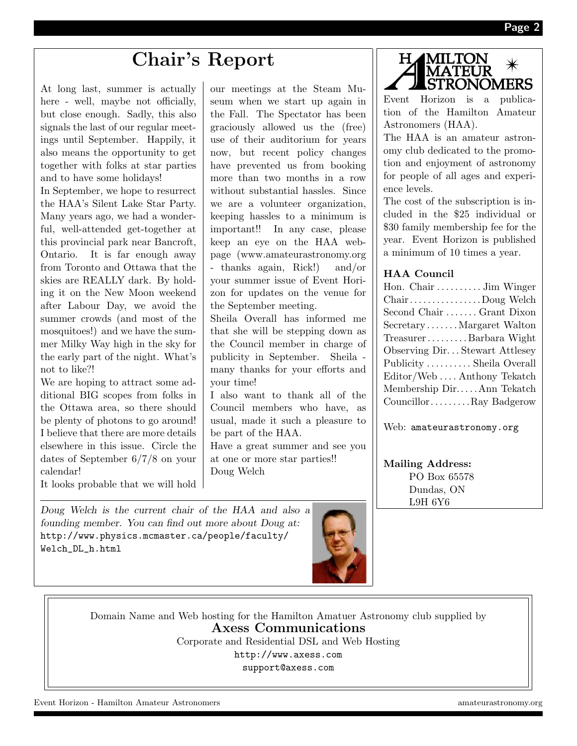# Chair's Report

At long last, summer is actually here - well, maybe not officially, but close enough. Sadly, this also signals the last of our regular meetings until September. Happily, it also means the opportunity to get together with folks at star parties and to have some holidays!

In September, we hope to resurrect the HAA's Silent Lake Star Party. Many years ago, we had a wonderful, well-attended get-together at this provincial park near Bancroft, Ontario. It is far enough away from Toronto and Ottawa that the skies are REALLY dark. By holding it on the New Moon weekend after Labour Day, we avoid the summer crowds (and most of the mosquitoes!) and we have the summer Milky Way high in the sky for the early part of the night. What's not to like?!

We are hoping to attract some additional BIG scopes from folks in the Ottawa area, so there should be plenty of photons to go around! I believe that there are more details elsewhere in this issue. Circle the dates of September 6/7/8 on your calendar!

It looks probable that we will hold

Doug Welch is the current chair of the HAA and also a founding member. You can find out more about Doug at: http://www.physics.mcmaster.ca/people/faculty/ Welch\_DL\_h.html

our meetings at the Steam Museum when we start up again in the Fall. The Spectator has been graciously allowed us the (free) use of their auditorium for years now, but recent policy changes have prevented us from booking more than two months in a row without substantial hassles. Since we are a volunteer organization, keeping hassles to a minimum is important!! In any case, please keep an eye on the HAA webpage (www.amateurastronomy.org - thanks again, Rick!) and/or your summer issue of Event Horizon for updates on the venue for the September meeting.

Sheila Overall has informed me that she will be stepping down as the Council member in charge of publicity in September. Sheila many thanks for your efforts and your time!

I also want to thank all of the Council members who have, as usual, made it such a pleasure to be part of the HAA.

Have a great summer and see you at one or more star parties!! Doug Welch



Event Horizon is a publication of the Hamilton Amateur Astronomers (HAA).

The HAA is an amateur astronomy club dedicated to the promotion and enjoyment of astronomy for people of all ages and experience levels.

The cost of the subscription is included in the \$25 individual or \$30 family membership fee for the year. Event Horizon is published a minimum of 10 times a year.

## HAA Council

Web: amateurastronomy.org

Mailing Address: PO Box 65578 Dundas, ON L9H 6Y6

Domain Name and Web hosting for the Hamilton Amatuer Astronomy club supplied by Axess Communications

Corporate and Residential DSL and Web Hosting

http://www.axess.com

support@axess.com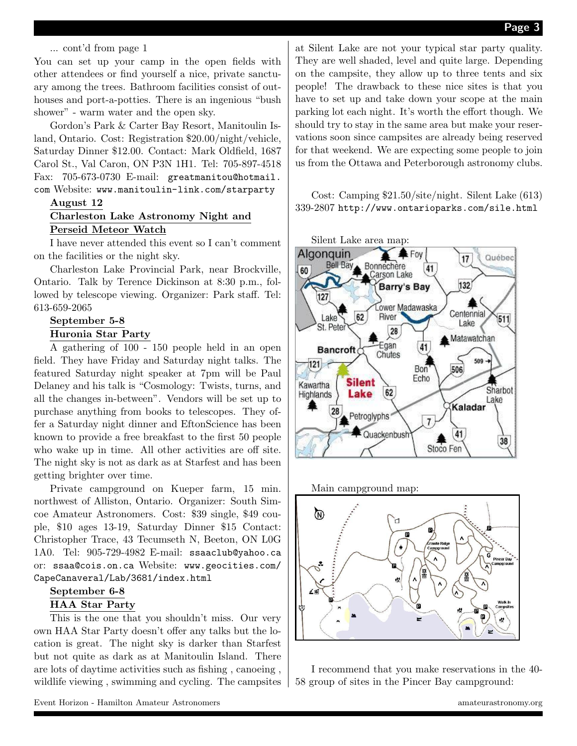#### ... cont'd from page 1

You can set up your camp in the open fields with other attendees or find yourself a nice, private sanctuary among the trees. Bathroom facilities consist of outhouses and port-a-potties. There is an ingenious "bush shower" - warm water and the open sky.

Gordon's Park & Carter Bay Resort, Manitoulin Island, Ontario. Cost: Registration \$20.00/night/vehicle, Saturday Dinner \$12.00. Contact: Mark Oldfield, 1687 Carol St., Val Caron, ON P3N 1H1. Tel: 705-897-4518 Fax: 705-673-0730 E-mail: greatmanitou@hotmail. com Website: www.manitoulin-link.com/starparty

#### August 12

#### Charleston Lake Astronomy Night and Perseid Meteor Watch

I have never attended this event so I can't comment on the facilities or the night sky.

Charleston Lake Provincial Park, near Brockville, Ontario. Talk by Terence Dickinson at 8:30 p.m., followed by telescope viewing. Organizer: Park staff. Tel: 613-659-2065

#### September 5-8 Huronia Star Party

A gathering of 100 - 150 people held in an open field. They have Friday and Saturday night talks. The featured Saturday night speaker at 7pm will be Paul Delaney and his talk is "Cosmology: Twists, turns, and all the changes in-between". Vendors will be set up to purchase anything from books to telescopes. They offer a Saturday night dinner and EftonScience has been known to provide a free breakfast to the first 50 people who wake up in time. All other activities are off site. The night sky is not as dark as at Starfest and has been getting brighter over time.

Private campground on Kueper farm, 15 min. northwest of Alliston, Ontario. Organizer: South Simcoe Amateur Astronomers. Cost: \$39 single, \$49 couple, \$10 ages 13-19, Saturday Dinner \$15 Contact: Christopher Trace, 43 Tecumseth N, Beeton, ON L0G 1A0. Tel: 905-729-4982 E-mail: ssaaclub@yahoo.ca or: ssaa@cois.on.ca Website: www.geocities.com/ CapeCanaveral/Lab/3681/index.html

#### September 6-8

#### HAA Star Party

This is the one that you shouldn't miss. Our very own HAA Star Party doesn't offer any talks but the location is great. The night sky is darker than Starfest but not quite as dark as at Manitoulin Island. There are lots of daytime activities such as fishing , canoeing , wildlife viewing , swimming and cycling. The campsites at Silent Lake are not your typical star party quality. They are well shaded, level and quite large. Depending on the campsite, they allow up to three tents and six people! The drawback to these nice sites is that you have to set up and take down your scope at the main parking lot each night. It's worth the effort though. We should try to stay in the same area but make your reservations soon since campsites are already being reserved for that weekend. We are expecting some people to join us from the Ottawa and Peterborough astronomy clubs.

Cost: Camping \$21.50/site/night. Silent Lake (613) 339-2807 http://www.ontarioparks.com/sile.html







I recommend that you make reservations in the 40- 58 group of sites in the Pincer Bay campground: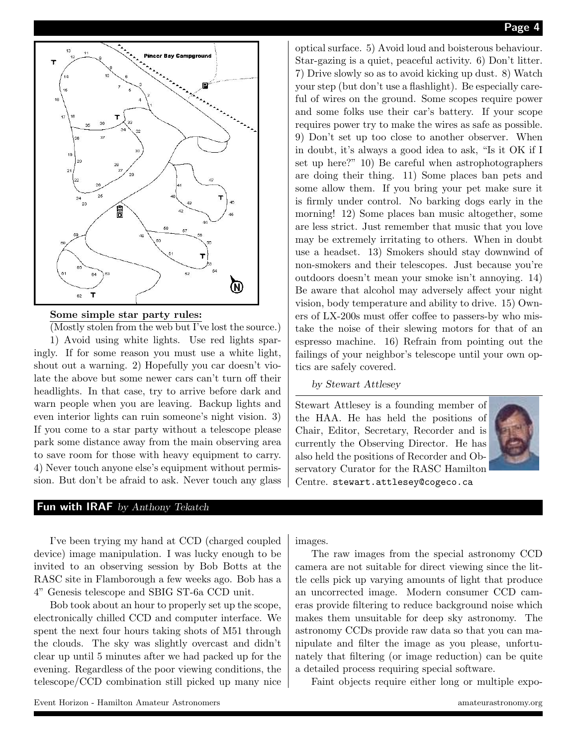

#### Some simple star party rules:

(Mostly stolen from the web but I've lost the source.) 1) Avoid using white lights. Use red lights sparingly. If for some reason you must use a white light, shout out a warning. 2) Hopefully you car doesn't violate the above but some newer cars can't turn off their headlights. In that case, try to arrive before dark and warn people when you are leaving. Backup lights and even interior lights can ruin someone's night vision. 3) If you come to a star party without a telescope please park some distance away from the main observing area to save room for those with heavy equipment to carry. 4) Never touch anyone else's equipment without permission. But don't be afraid to ask. Never touch any glass

#### Fun with IRAF by Anthony Tekatch

I've been trying my hand at CCD (charged coupled device) image manipulation. I was lucky enough to be invited to an observing session by Bob Botts at the RASC site in Flamborough a few weeks ago. Bob has a 4" Genesis telescope and SBIG ST-6a CCD unit.

Bob took about an hour to properly set up the scope, electronically chilled CCD and computer interface. We spent the next four hours taking shots of M51 through the clouds. The sky was slightly overcast and didn't clear up until 5 minutes after we had packed up for the evening. Regardless of the poor viewing conditions, the telescope/CCD combination still picked up many nice optical surface. 5) Avoid loud and boisterous behaviour. Star-gazing is a quiet, peaceful activity. 6) Don't litter. 7) Drive slowly so as to avoid kicking up dust. 8) Watch your step (but don't use a flashlight). Be especially careful of wires on the ground. Some scopes require power and some folks use their car's battery. If your scope requires power try to make the wires as safe as possible. 9) Don't set up too close to another observer. When in doubt, it's always a good idea to ask, "Is it OK if I set up here?" 10) Be careful when astrophotographers are doing their thing. 11) Some places ban pets and some allow them. If you bring your pet make sure it is firmly under control. No barking dogs early in the morning! 12) Some places ban music altogether, some are less strict. Just remember that music that you love may be extremely irritating to others. When in doubt use a headset. 13) Smokers should stay downwind of non-smokers and their telescopes. Just because you're outdoors doesn't mean your smoke isn't annoying. 14) Be aware that alcohol may adversely affect your night vision, body temperature and ability to drive. 15) Owners of LX-200s must offer coffee to passers-by who mistake the noise of their slewing motors for that of an espresso machine. 16) Refrain from pointing out the failings of your neighbor's telescope until your own optics are safely covered.

by Stewart Attlesey

Stewart Attlesey is a founding member of the HAA. He has held the positions of Chair, Editor, Secretary, Recorder and is currently the Observing Director. He has also held the positions of Recorder and Observatory Curator for the RASC Hamilton Centre. stewart.attlesey@cogeco.ca



images.

The raw images from the special astronomy CCD camera are not suitable for direct viewing since the little cells pick up varying amounts of light that produce an uncorrected image. Modern consumer CCD cameras provide filtering to reduce background noise which makes them unsuitable for deep sky astronomy. The astronomy CCDs provide raw data so that you can manipulate and filter the image as you please, unfortunately that filtering (or image reduction) can be quite a detailed process requiring special software.

Faint objects require either long or multiple expo-

Event Horizon - Hamilton Amateur Astronomers amateurastronomy.org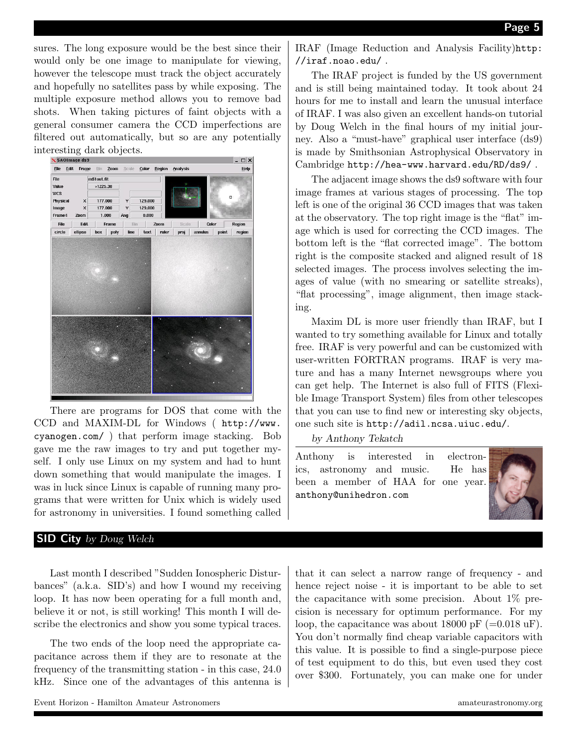sures. The long exposure would be the best since their would only be one image to manipulate for viewing, however the telescope must track the object accurately and hopefully no satellites pass by while exposing. The multiple exposure method allows you to remove bad shots. When taking pictures of faint objects with a general consumer camera the CCD imperfections are filtered out automatically, but so are any potentially interesting dark objects.



There are programs for DOS that come with the CCD and MAXIM-DL for Windows ( http://www. cyanogen.com/ ) that perform image stacking. Bob gave me the raw images to try and put together myself. I only use Linux on my system and had to hunt down something that would manipulate the images. I was in luck since Linux is capable of running many programs that were written for Unix which is widely used for astronomy in universities. I found something called

#### SID City by Doug Welch

Last month I described "Sudden Ionospheric Disturbances" (a.k.a. SID's) and how I wound my receiving loop. It has now been operating for a full month and, believe it or not, is still working! This month I will describe the electronics and show you some typical traces.

The two ends of the loop need the appropriate capacitance across them if they are to resonate at the frequency of the transmitting station - in this case, 24.0 kHz. Since one of the advantages of this antenna is IRAF (Image Reduction and Analysis Facility)http: //iraf.noao.edu/ .

The IRAF project is funded by the US government and is still being maintained today. It took about 24 hours for me to install and learn the unusual interface of IRAF. I was also given an excellent hands-on tutorial by Doug Welch in the final hours of my initial journey. Also a "must-have" graphical user interface (ds9) is made by Smithsonian Astrophysical Observatory in Cambridge http://hea-www.harvard.edu/RD/ds9/ .

The adjacent image shows the ds9 software with four image frames at various stages of processing. The top left is one of the original 36 CCD images that was taken at the observatory. The top right image is the "flat" image which is used for correcting the CCD images. The bottom left is the "flat corrected image". The bottom right is the composite stacked and aligned result of 18 selected images. The process involves selecting the images of value (with no smearing or satellite streaks), "flat processing", image alignment, then image stacking.

Maxim DL is more user friendly than IRAF, but I wanted to try something available for Linux and totally free. IRAF is very powerful and can be customized with user-written FORTRAN programs. IRAF is very mature and has a many Internet newsgroups where you can get help. The Internet is also full of FITS (Flexible Image Transport System) files from other telescopes that you can use to find new or interesting sky objects, one such site is http://adil.ncsa.uiuc.edu/.

by Anthony Tekatch

Anthony is interested in electronics, astronomy and music. He has been a member of HAA for one year. anthony@unihedron.com



that it can select a narrow range of frequency - and hence reject noise - it is important to be able to set the capacitance with some precision. About 1% precision is necessary for optimum performance. For my loop, the capacitance was about 18000 pF  $(=0.018 \text{ uF})$ . You don't normally find cheap variable capacitors with this value. It is possible to find a single-purpose piece of test equipment to do this, but even used they cost over \$300. Fortunately, you can make one for under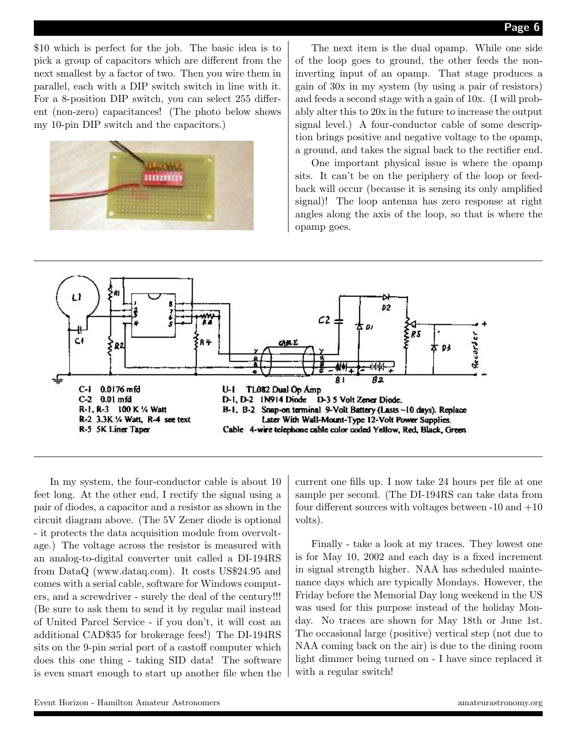\$10 which is perfect for the job. The basic idea is to pick a group of capacitors which are different from the next smallest by a factor of two. Then you wire them in parallel, each with a DIP switch switch in line with it. For a 8-position DIP switch, you can select 255 different (non-zero) capacitances! (The photo below shows my 10-pin DIP switch and the capacitors.)



The next item is the dual opamp. While one side of the loop goes to ground, the other feeds the noninverting input of an opamp. That stage produces a gain of 30x in my system (by using a pair of resistors) and feeds a second stage with a gain of 10x. (I will probably alter this to 20x in the future to increase the output signal level.) A four-conductor cable of some description brings positive and negative voltage to the opamp, a ground, and takes the signal back to the rectifier end.

One important physical issue is where the opamp sits. It can't be on the periphery of the loop or feedback will occur (because it is sensing its only amplified signal)! The loop antenna has zero response at right angles along the axis of the loop, so that is where the opamp goes.



In my system, the four-conductor cable is about 10 feet long. At the other end, I rectify the signal using a pair of diodes, a capacitor and a resistor as shown in the circuit diagram above. (The 5V Zener diode is optional - it protects the data acquisition module from overvoltage.) The voltage across the resistor is measured with an analog-to-digital converter unit called a DI-194RS from DataQ (www.dataq.com). It costs US\$24.95 and comes with a serial cable, software for Windows computers, and a screwdriver - surely the deal of the century!!! (Be sure to ask them to send it by regular mail instead of United Parcel Service - if you don't, it will cost an additional CAD\$35 for brokerage fees!) The DI-194RS sits on the 9-pin serial port of a castoff computer which does this one thing - taking SID data! The software is even smart enough to start up another file when the

current one fills up. I now take 24 hours per file at one sample per second. (The DI-194RS can take data from four different sources with voltages between  $-10$  and  $+10$ volts).

Finally - take a look at my traces. They lowest one is for May 10, 2002 and each day is a fixed increment in signal strength higher. NAA has scheduled maintenance days which are typically Mondays. However, the Friday before the Memorial Day long weekend in the US was used for this purpose instead of the holiday Monday. No traces are shown for May 18th or June 1st. The occasional large (positive) vertical step (not due to NAA coming back on the air) is due to the dining room light dimmer being turned on - I have since replaced it with a regular switch!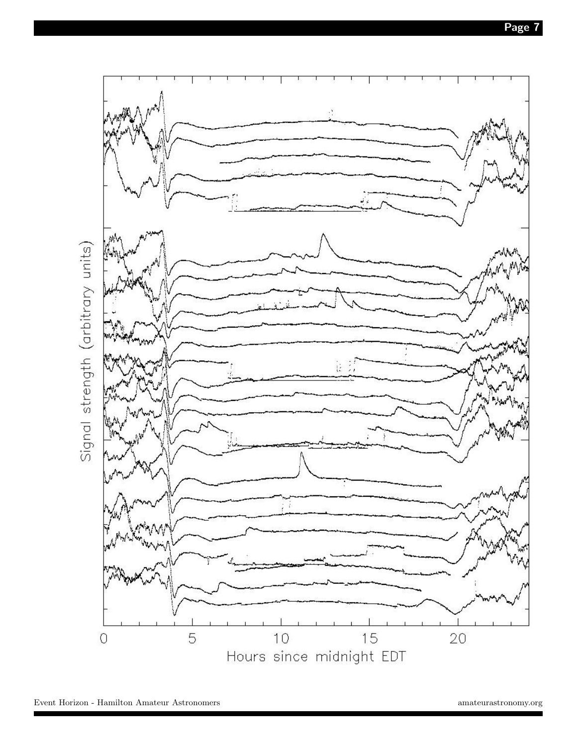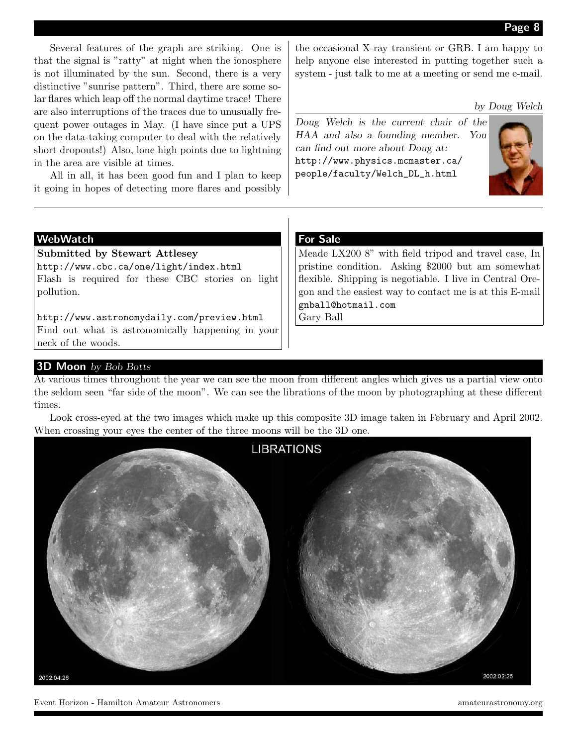Several features of the graph are striking. One is that the signal is "ratty" at night when the ionosphere is not illuminated by the sun. Second, there is a very distinctive "sunrise pattern". Third, there are some solar flares which leap off the normal daytime trace! There are also interruptions of the traces due to unusually frequent power outages in May. (I have since put a UPS on the data-taking computer to deal with the relatively short dropouts!) Also, lone high points due to lightning in the area are visible at times.

All in all, it has been good fun and I plan to keep it going in hopes of detecting more flares and possibly the occasional X-ray transient or GRB. I am happy to help anyone else interested in putting together such a system - just talk to me at a meeting or send me e-mail.

by Doug Welch

Doug Welch is the current chair of the HAA and also a founding member. You can find out more about Doug at: http://www.physics.mcmaster.ca/ people/faculty/Welch\_DL\_h.html



#### WebWatch

Submitted by Stewart Attlesey http://www.cbc.ca/one/light/index.html Flash is required for these CBC stories on light pollution.

http://www.astronomydaily.com/preview.html Find out what is astronomically happening in your neck of the woods.

#### For Sale

Meade LX200 8" with field tripod and travel case, In pristine condition. Asking \$2000 but am somewhat flexible. Shipping is negotiable. I live in Central Oregon and the easiest way to contact me is at this E-mail gnball@hotmail.com

Gary Ball

#### 3D Moon by Bob Botts

At various times throughout the year we can see the moon from different angles which gives us a partial view onto the seldom seen "far side of the moon". We can see the librations of the moon by photographing at these different times.

Look cross-eyed at the two images which make up this composite 3D image taken in February and April 2002. When crossing your eyes the center of the three moons will be the 3D one.



Event Horizon - Hamilton Amateur Astronomers amateurastronomy.org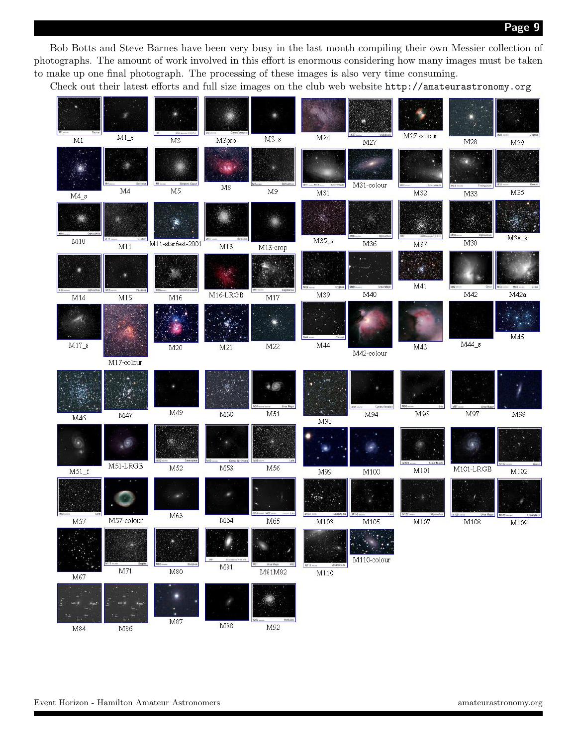Page 9

Bob Botts and Steve Barnes have been very busy in the last month compiling their own Messier collection of photographs. The amount of work involved in this effort is enormous considering how many images must be taken to make up one final photograph. The processing of these images is also very time consuming.

Check out their latest efforts and full size images on the club web website http://amateurastronomy.org

| M27-colour<br>$M1_s$<br>M24<br>$\rm M3\_s$<br>M3<br>M3pro<br>M1<br>M27<br>M28<br>M29<br>M31-colour<br>$-W22$<br>$\mathbf{M}8$<br>$\mathbf{M}5$<br>M4<br>M9<br>M31<br>M32<br>M35<br>M33<br>$MA_s$<br>Ophius<br>$M38_S$<br>$M35_s$<br>M10<br>M38<br>M36<br>M11-starfest-2001<br>M37<br>M11<br>M13<br>M13-crop<br>M41<br><b>Ursa Major</b><br><b>Pegasus</b><br>Septiton<br>M40<br>M42<br>M42a<br>M16-LRGB<br>M39<br>M <sub>15</sub><br>M17<br>M14<br>M16 |            |
|--------------------------------------------------------------------------------------------------------------------------------------------------------------------------------------------------------------------------------------------------------------------------------------------------------------------------------------------------------------------------------------------------------------------------------------------------------|------------|
|                                                                                                                                                                                                                                                                                                                                                                                                                                                        |            |
|                                                                                                                                                                                                                                                                                                                                                                                                                                                        |            |
|                                                                                                                                                                                                                                                                                                                                                                                                                                                        |            |
|                                                                                                                                                                                                                                                                                                                                                                                                                                                        |            |
|                                                                                                                                                                                                                                                                                                                                                                                                                                                        |            |
|                                                                                                                                                                                                                                                                                                                                                                                                                                                        |            |
| M45                                                                                                                                                                                                                                                                                                                                                                                                                                                    |            |
| $MA4_s$<br>$M17_s$<br>M44<br>M22<br>M43<br>M21<br>M20                                                                                                                                                                                                                                                                                                                                                                                                  |            |
| M42-colour                                                                                                                                                                                                                                                                                                                                                                                                                                             |            |
| M17-colour                                                                                                                                                                                                                                                                                                                                                                                                                                             |            |
| Canas Venator<br>Mi4 sound<br>Ursa Ma                                                                                                                                                                                                                                                                                                                                                                                                                  |            |
| M49<br>M51<br>M94<br>M96<br>M97<br>M50<br>M47<br>M46<br>M93                                                                                                                                                                                                                                                                                                                                                                                            | M98        |
| Ursa Major<br><b>M101</b> <sub>mm</sub><br>M51-LRGB<br>M52<br>M53<br>M56                                                                                                                                                                                                                                                                                                                                                                               |            |
| M101-LRGB<br>M101<br>$M51_f$<br>M99<br>M100                                                                                                                                                                                                                                                                                                                                                                                                            | M102       |
| M63<br>$\frac{1}{2}$<br>rep. At<br>8 MH<br>M109 May                                                                                                                                                                                                                                                                                                                                                                                                    | Ursa Major |
| M57-colour<br>M64<br>M65<br>M57<br>M103<br>M105<br>M107<br>M108                                                                                                                                                                                                                                                                                                                                                                                        | M109       |
| $M110$ -colour<br>M81<br>M71<br>M80<br>M81M82<br>M110<br>$\rm M67$                                                                                                                                                                                                                                                                                                                                                                                     |            |
| M87<br>M88<br>M92<br>M86<br>M84                                                                                                                                                                                                                                                                                                                                                                                                                        |            |